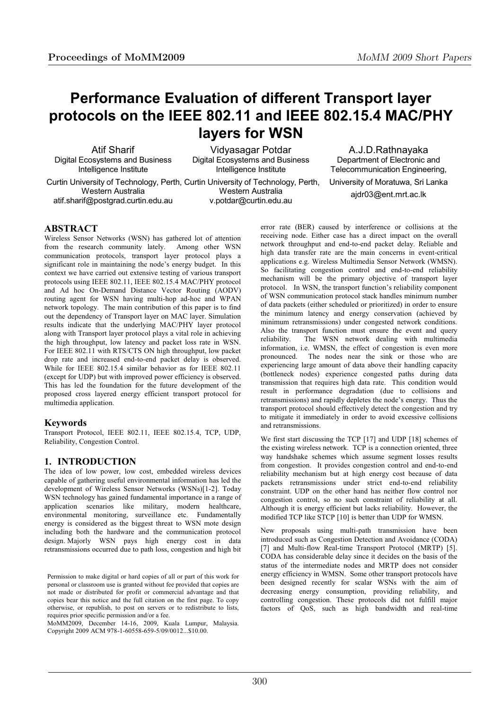# **Performance Evaluation of different Transport layer protocols on the IEEE 802.11 and IEEE 802.15.4 MAC/PHY layers for WSN**

Atif Sharif Digital Ecosystems and Business Intelligence Institute

Vidyasagar Potdar Digital Ecosystems and Business Intelligence Institute

 Curtin University of Technology, Perth, Curtin University of Technology, Perth, Western Australia atif.sharif@postgrad.curtin.edu.au

Western Australia v.potdar@curtin.edu.au

A.J.D.Rathnayaka Department of Electronic and Telecommunication Engineering, University of Moratuwa, Sri Lanka ajdr03@ent.mrt.ac.lk

## **ABSTRACT**

Wireless Sensor Networks (WSN) has gathered lot of attention from the research community lately. Among other WSN communication protocols, transport layer protocol plays a significant role in maintaining the node's energy budget. In this context we have carried out extensive testing of various transport protocols using IEEE 802.11, IEEE 802.15.4 MAC/PHY protocol and Ad hoc On-Demand Distance Vector Routing (AODV) routing agent for WSN having multi-hop ad-hoc and WPAN network topology. The main contribution of this paper is to find out the dependency of Transport layer on MAC layer. Simulation results indicate that the underlying MAC/PHY layer protocol along with Transport layer protocol plays a vital role in achieving the high throughput, low latency and packet loss rate in WSN. For IEEE 802.11 with RTS/CTS ON high throughput, low packet drop rate and increased end-to-end packet delay is observed. While for IEEE 802.15.4 similar behavior as for IEEE 802.11 (except for UDP) but with improved power efficiency is observed. This has led the foundation for the future development of the proposed cross layered energy efficient transport protocol for multimedia application.

## **Keywords**

Transport Protocol, IEEE 802.11, IEEE 802.15.4, TCP, UDP, Reliability, Congestion Control.

## **1. INTRODUCTION**

The idea of low power, low cost, embedded wireless devices capable of gathering useful environmental information has led the development of Wireless Sensor Networks (WSNs)[1-2]. Today WSN technology has gained fundamental importance in a range of application scenarios like military, modern healthcare, environmental monitoring, surveillance etc. Fundamentally energy is considered as the biggest threat to WSN mote design including both the hardware and the communication protocol design. Majorly WSN pays high energy cost in data retransmissions occurred due to path loss, congestion and high bit

Permission to make digital or hard copies of all or part of this work for personal or classroom use is granted without fee provided that copies are not made or distributed for profit or commercial advantage and that copies bear this notice and the full citation on the first page. To copy otherwise, or republish, to post on servers or to redistribute to lists, requires prior specific permission and/or a fee.

MoMM2009, December 14-16, 2009, Kuala Lumpur, Malaysia. Copyright 2009 ACM 978-1-60558-659-5/09/0012...\$10.00.

error rate (BER) caused by interference or collisions at the receiving node. Either case has a direct impact on the overall network throughput and end-to-end packet delay. Reliable and high data transfer rate are the main concerns in event-critical applications e.g. Wireless Multimedia Sensor Network (WMSN). So facilitating congestion control and end-to-end reliability mechanism will be the primary objective of transport layer protocol. In WSN, the transport function's reliability component of WSN communication protocol stack handles minimum number of data packets (either scheduled or prioritized) in order to ensure the minimum latency and energy conservation (achieved by minimum retransmissions) under congested network conditions. Also the transport function must ensure the event and query reliability. The WSN network dealing with multimedia information, i.e. WMSN, the effect of congestion is even more pronounced. The nodes near the sink or those who are experiencing large amount of data above their handling capacity (bottleneck nodes) experience congested paths during data transmission that requires high data rate. This condition would result in performance degradation (due to collisions and retransmissions) and rapidly depletes the node's energy. Thus the transport protocol should effectively detect the congestion and try to mitigate it immediately in order to avoid excessive collisions and retransmissions.

We first start discussing the TCP [17] and UDP [18] schemes of the existing wireless network. TCP is a connection oriented, three way handshake schemes which assume segment losses results from congestion. It provides congestion control and end-to-end reliability mechanism but at high energy cost because of data packets retransmissions under strict end-to-end reliability constraint. UDP on the other hand has neither flow control nor congestion control, so no such constraint of reliability at all. Although it is energy efficient but lacks reliability. However, the modified TCP like STCP [10] is better than UDP for WMSN.

New proposals using multi-path transmission have been introduced such as Congestion Detection and Avoidance (CODA) [7] and Multi-flow Real-time Transport Protocol (MRTP) [5]. CODA has considerable delay since it decides on the basis of the status of the intermediate nodes and MRTP does not consider energy efficiency in WMSN. Some other transport protocols have been designed recently for scalar WSNs with the aim of decreasing energy consumption, providing reliability, and controlling congestion. These protocols did not fulfill major factors of QoS, such as high bandwidth and real-time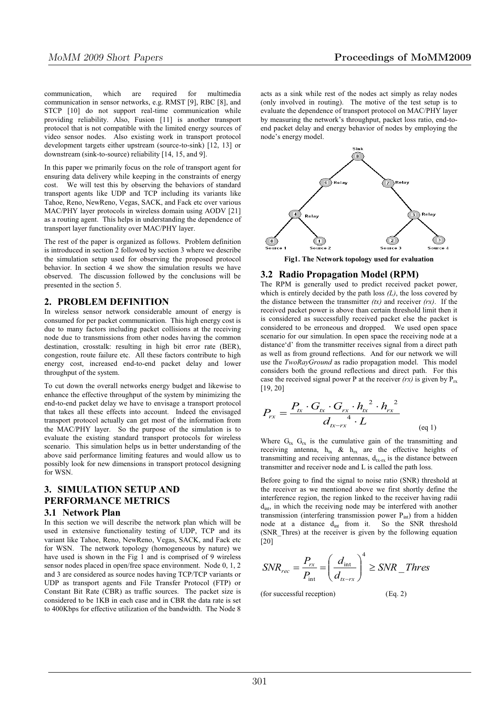communication, which are required for multimedia communication in sensor networks, e.g. RMST [9], RBC [8], and STCP [10] do not support real-time communication while providing reliability. Also, Fusion [11] is another transport protocol that is not compatible with the limited energy sources of video sensor nodes. Also existing work in transport protocol development targets either upstream (source-to-sink) [12, 13] or downstream (sink-to-source) reliability [14, 15, and 9].

In this paper we primarily focus on the role of transport agent for ensuring data delivery while keeping in the constraints of energy cost. We will test this by observing the behaviors of standard transport agents like UDP and TCP including its variants like Tahoe, Reno, NewReno, Vegas, SACK, and Fack etc over various MAC/PHY layer protocols in wireless domain using AODV [21] as a routing agent. This helps in understanding the dependence of transport layer functionality over MAC/PHY layer.

The rest of the paper is organized as follows. Problem definition is introduced in section 2 followed by section 3 where we describe the simulation setup used for observing the proposed protocol behavior. In section 4 we show the simulation results we have observed. The discussion followed by the conclusions will be presented in the section 5.

## **2. PROBLEM DEFINITION**

In wireless sensor network considerable amount of energy is consumed for per packet communication. This high energy cost is due to many factors including packet collisions at the receiving node due to transmissions from other nodes having the common destination, crosstalk: resulting in high bit error rate (BER), congestion, route failure etc. All these factors contribute to high energy cost, increased end-to-end packet delay and lower throughput of the system.

To cut down the overall networks energy budget and likewise to enhance the effective throughput of the system by minimizing the end-to-end packet delay we have to envisage a transport protocol that takes all these effects into account. Indeed the envisaged transport protocol actually can get most of the information from the MAC/PHY layer. So the purpose of the simulation is to evaluate the existing standard transport protocols for wireless scenario. This simulation helps us in better understanding of the above said performance limiting features and would allow us to possibly look for new dimensions in transport protocol designing for WSN.

## **3. SIMULATION SETUP AND PERFORMANCE METRICS**

## **3.1 Network Plan**

In this section we will describe the network plan which will be used in extensive functionality testing of UDP, TCP and its variant like Tahoe, Reno, NewReno, Vegas, SACK, and Fack etc for WSN. The network topology (homogeneous by nature) we have used is shown in the Fig 1 and is comprised of 9 wireless sensor nodes placed in open/free space environment. Node 0, 1, 2 and 3 are considered as source nodes having TCP/TCP variants or UDP as transport agents and File Transfer Protocol (FTP) or Constant Bit Rate (CBR) as traffic sources. The packet size is considered to be 1KB in each case and in CBR the data rate is set to 400Kbps for effective utilization of the bandwidth. The Node 8

acts as a sink while rest of the nodes act simply as relay nodes (only involved in routing). The motive of the test setup is to evaluate the dependence of transport protocol on MAC/PHY layer by measuring the network's throughput, packet loss ratio, end-toend packet delay and energy behavior of nodes by employing the node's energy model.



**Fig1. The Network topology used for evaluation** 

#### **3.2 Radio Propagation Model (RPM)**

The RPM is generally used to predict received packet power, which is entirely decided by the path loss  $(L)$ , the loss covered by the distance between the transmitter *(tx)* and receiver *(rx)*. If the received packet power is above than certain threshold limit then it is considered as successfully received packet else the packet is considered to be erroneous and dropped. We used open space scenario for our simulation. In open space the receiving node at a distance'd' from the transmitter receives signal from a direct path as well as from ground reflections. And for our network we will use the *TwoRayGround* as radio propagation model. This model considers both the ground reflections and direct path. For this case the received signal power P at the receiver  $(rx)$  is given by  $P_{rx}$ [19, 20]

$$
P_{rx} = \frac{P_{tx} \cdot G_{tx} \cdot G_{rx} \cdot h_{tx}^{2} \cdot h_{rx}^{2}}{d_{tx - rx}^{4} \cdot L}
$$
 (eq 1)

Where  $G_{tx}$   $G_{rx}$  is the cumulative gain of the transmitting and receiving antenna,  $h_{tx}$  &  $h_{rx}$  are the effective heights of transmitting and receiving antennas,  $d_{\text{tr},\text{tr}}$  is the distance between transmitter and receiver node and L is called the path loss.

Before going to find the signal to noise ratio (SNR) threshold at the receiver as we mentioned above we first shortly define the interference region, the region linked to the receiver having radii  $d<sub>int</sub>$ , in which the receiving node may be interfered with another transmission (interfering transmission power  $P_{int}$ ) from a hidden node at a distance d<sub>int</sub> from it. So the SNR threshold (SNR\_Thres) at the receiver is given by the following equation [20]

$$
SNR_{rec} = \frac{P_{rx}}{P_{\text{int}}} = \left(\frac{d_{\text{int}}}{d_{\text{r-rx}}}\right)^4 \geq SNR\_Thres
$$

(for successful reception)

$$
(Eq. 2)
$$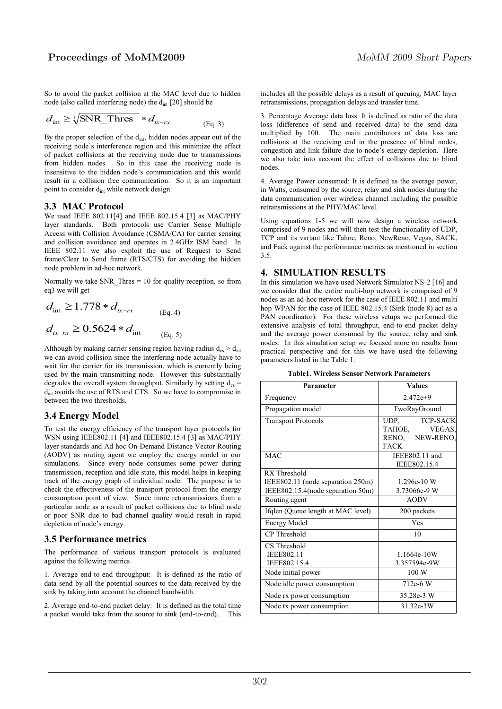So to avoid the packet collision at the MAC level due to hidden node (also called interfering node) the d<sub>int</sub> [20] should be

$$
d_{\rm int} \ge \sqrt[4]{\text{SNR\_Thres}} \cdot d_{tx-rx}
$$
 (Eq. 3)

By the proper selection of the dint, hidden nodes appear out of the receiving node's interference region and this minimize the effect of packet collisions at the receiving node due to transmissions from hidden nodes. So in this case the receiving node is insensitive to the hidden node's communication and this would result in a collision free communication. So it is an important point to consider d<sub>int</sub> while network design.

#### **3.3 MAC Protocol**

We used IEEE 802.11[4] and IEEE 802.15.4 [3] as MAC/PHY layer standards. Both protocols use Carrier Sense Multiple Access with Collision Avoidance (CSMA/CA) for carrier sensing and collision avoidance and operates in 2.4GHz ISM band. In IEEE 802.11 we also exploit the use of Request to Send frame/Clear to Send frame (RTS/CTS) for avoiding the hidden node problem in ad-hoc network.

Normally we take SNR Thres  $= 10$  for quality reception, so from eq3 we will get

$$
d_{\text{int}} \ge 1.778 * d_{tx-rx}
$$
 (Eq. 4)  

$$
d_{tx-rx} \ge 0.5624 * d_{\text{int}}
$$
 (Eq. 5)

Although by making carrier sensing region having radius  $d_{cs} > d_{int}$ we can avoid collision since the interfering node actually have to wait for the carrier for its transmission, which is currently being used by the main transmitting node. However this substantially degrades the overall system throughput. Similarly by setting  $d_{cs}$  = d<sub>int</sub> avoids the use of RTS and CTS. So we have to compromise in between the two thresholds.

#### **3.4 Energy Model**

To test the energy efficiency of the transport layer protocols for WSN using IEEE802.11 [4] and IEEE802.15.4 [3] as MAC/PHY layer standards and Ad hoc On-Demand Distance Vector Routing (AODV) as routing agent we employ the energy model in our simulations. Since every node consumes some power during transmission, reception and idle state, this model helps in keeping track of the energy graph of individual node. The purpose is to check the effectiveness of the transport protocol from the energy consumption point of view. Since more retransmissions from a particular node as a result of packet collisions due to blind node or poor SNR due to bad channel quality would result in rapid depletion of node's energy.

#### **3.5 Performance metrics**

The performance of various transport protocols is evaluated against the following metrics

1. Average end-to-end throughput: It is defined as the ratio of data send by all the potential sources to the data received by the sink by taking into account the channel bandwidth.

2. Average end-to-end packet delay: It is defined as the total time a packet would take from the source to sink (end-to-end).

includes all the possible delays as a result of queuing, MAC layer retransmissions, propagation delays and transfer time.

3. Percentage Average data loss: It is defined as ratio of the data loss (difference of send and received data) to the send data multiplied by 100. The main contributors of data loss are collisions at the receiving end in the presence of blind nodes, congestion and link failure due to node's energy depletion. Here we also take into account the effect of collisions due to blind nodes.

4. Average Power consumed: It is defined as the average power, in Watts, consumed by the source, relay and sink nodes during the data communication over wireless channel including the possible retransmissions at the PHY/MAC level.

Using equations 1-5 we will now design a wireless network comprised of 9 nodes and will then test the functionality of UDP, TCP and its variant like Tahoe, Reno, NewReno, Vegas, SACK, and Fack against the performance metrics as mentioned in section 3.5.

## **4. SIMULATION RESULTS**

In this simulation we have used Network Simulator NS-2 [16] and we consider that the entire multi-hop network is comprised of 9 nodes as an ad-hoc network for the case of IEEE 802.11 and multi hop WPAN for the case of IEEE 802.15.4 (Sink (node 8) act as a PAN coordinator). For these wireless setups we performed the extensive analysis of total throughput, end-to-end packet delay and the average power consumed by the source, relay and sink nodes. In this simulation setup we focused more on results from practical perspective and for this we have used the following parameters listed in the Table 1.

| <b>Table1. Wireless Sensor Network Parameters</b> |  |
|---------------------------------------------------|--|
|---------------------------------------------------|--|

| Parameter                          | <b>Values</b>           |
|------------------------------------|-------------------------|
| Frequency                          | $2.472e+9$              |
| Propagation model                  | TwoRayGround            |
| <b>Transport Protocols</b>         | <b>TCP-SACK</b><br>UDP, |
|                                    | TAHOE,<br>VEGAS.        |
|                                    | RENO, NEW-RENO,         |
|                                    | <b>FACK</b>             |
| <b>MAC</b>                         | IEEE802.11 and          |
|                                    | IEEE802.15.4            |
| RX Threshold                       |                         |
| IEEE802.11 (node separation 250m)  | 1.296e-10 W             |
| IEEE802.15.4(node separation 50m)  | 3.73066e-9 W            |
| Routing agent                      | <b>AODV</b>             |
| Ifqlen (Queue length at MAC level) | 200 packets             |
| <b>Energy Model</b>                | Yes                     |
| CP Threshold                       | 10                      |
| CS Threshold                       |                         |
| <b>IEEE802.11</b>                  | 1.1664e-10W             |
| IEEE802.15.4                       | 3.357594e-9W            |
| Node initial power                 | 100 W                   |
| Node idle power consumption        | 712e-6 W                |
| Node rx power consumption          | 35,28e-3 W              |
| Node tx power consumption          | 31.32e-3W               |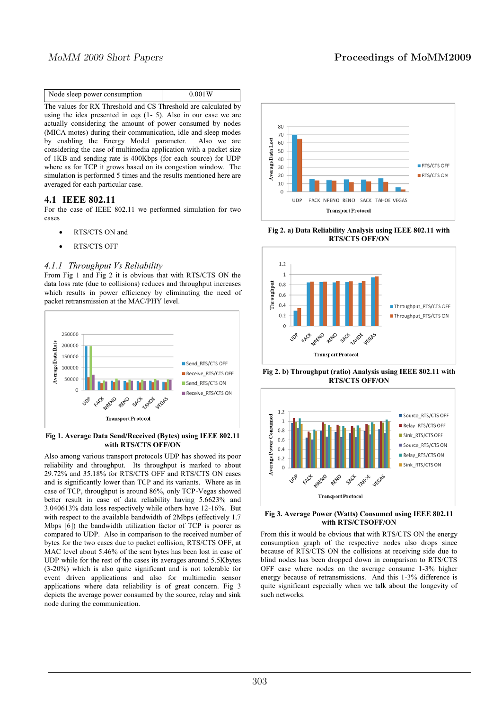| Node sleep power consumption<br>0.001W |
|----------------------------------------|
|----------------------------------------|

The values for RX Threshold and CS Threshold are calculated by using the idea presented in eqs (1- 5). Also in our case we are actually considering the amount of power consumed by nodes (MICA motes) during their communication, idle and sleep modes by enabling the Energy Model parameter. Also we are considering the case of multimedia application with a packet size of 1KB and sending rate is 400Kbps (for each source) for UDP where as for TCP it grows based on its congestion window. The simulation is performed 5 times and the results mentioned here are averaged for each particular case.

## **4.1 IEEE 802.11**

For the case of IEEE 802.11 we performed simulation for two cases

- RTS/CTS ON and
- RTS/CTS OFF

#### *4.1.1 Throughput Vs Reliability*

From Fig 1 and Fig 2 it is obvious that with RTS/CTS ON the data loss rate (due to collisions) reduces and throughput increases which results in power efficiency by eliminating the need of packet retransmission at the MAC/PHY level.



**Fig 1. Average Data Send/Received (Bytes) using IEEE 802.11 with RTS/CTS OFF/ON** 

Also among various transport protocols UDP has showed its poor reliability and throughput. Its throughput is marked to about 29.72% and 35.18% for RTS/CTS OFF and RTS/CTS ON cases and is significantly lower than TCP and its variants. Where as in case of TCP, throughput is around 86%, only TCP-Vegas showed better result in case of data reliability having 5.6623% and 3.040613% data loss respectively while others have 12-16%. But with respect to the available bandwidth of 2Mbps (effectively 1.7 Mbps [6]) the bandwidth utilization factor of TCP is poorer as compared to UDP. Also in comparison to the received number of bytes for the two cases due to packet collision, RTS/CTS OFF, at MAC level about 5.46% of the sent bytes has been lost in case of UDP while for the rest of the cases its averages around 5.5Kbytes (3-20%) which is also quite significant and is not tolerable for event driven applications and also for multimedia sensor applications where data reliability is of great concern. Fig 3 depicts the average power consumed by the source, relay and sink node during the communication.



**Fig 2. a) Data Reliability Analysis using IEEE 802.11 with RTS/CTS OFF/ON** 



**Fig 2. b) Throughput (ratio) Analysis using IEEE 802.11 with RTS/CTS OFF/ON** 



#### **Fig 3. Average Power (Watts) Consumed using IEEE 802.11 with RTS/CTSOFF/ON**

From this it would be obvious that with RTS/CTS ON the energy consumption graph of the respective nodes also drops since because of RTS/CTS ON the collisions at receiving side due to blind nodes has been dropped down in comparison to RTS/CTS OFF case where nodes on the average consume 1-3% higher energy because of retransmissions. And this 1-3% difference is quite significant especially when we talk about the longevity of such networks.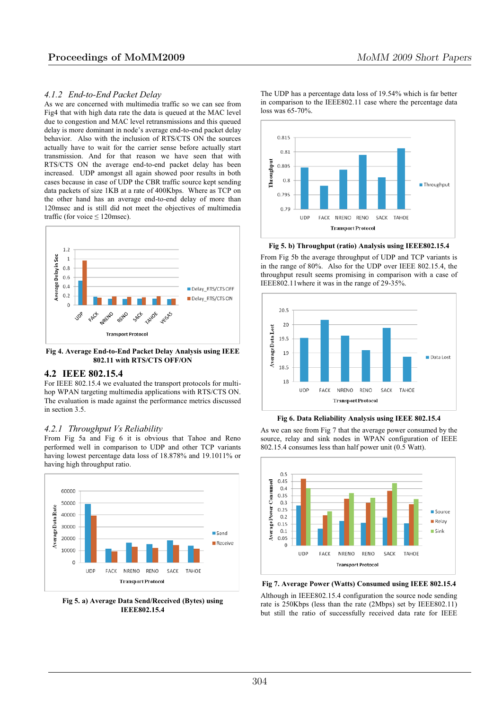#### *4.1.2 End-to-End Packet Delay*

As we are concerned with multimedia traffic so we can see from Fig4 that with high data rate the data is queued at the MAC level due to congestion and MAC level retransmissions and this queued delay is more dominant in node's average end-to-end packet delay behavior. Also with the inclusion of RTS/CTS ON the sources actually have to wait for the carrier sense before actually start transmission. And for that reason we have seen that with RTS/CTS ON the average end-to-end packet delay has been increased. UDP amongst all again showed poor results in both cases because in case of UDP the CBR traffic source kept sending data packets of size 1KB at a rate of 400Kbps. Where as TCP on the other hand has an average end-to-end delay of more than 120msec and is still did not meet the objectives of multimedia traffic (for voice  $\leq$  120msec).



**Fig 4. Average End-to-End Packet Delay Analysis using IEEE 802.11 with RTS/CTS OFF/ON** 

## **4.2 IEEE 802.15.4**

For IEEE 802.15.4 we evaluated the transport protocols for multihop WPAN targeting multimedia applications with RTS/CTS ON. The evaluation is made against the performance metrics discussed in section 3.5.

## *4.2.1 Throughput Vs Reliability*

From Fig 5a and Fig 6 it is obvious that Tahoe and Reno performed well in comparison to UDP and other TCP variants having lowest percentage data loss of 18.878% and 19.1011% or having high throughput ratio.



**Fig 5. a) Average Data Send/Received (Bytes) using IEEE802.15.4** 

The UDP has a percentage data loss of 19.54% which is far better in comparison to the IEEE802.11 case where the percentage data loss was 65-70%.



**Fig 5. b) Throughput (ratio) Analysis using IEEE802.15.4** 

From Fig 5b the average throughput of UDP and TCP variants is in the range of 80%. Also for the UDP over IEEE 802.15.4, the throughput result seems promising in comparison with a case of IEEE802.11where it was in the range of 29-35%.



**Fig 6. Data Reliability Analysis using IEEE 802.15.4** 

As we can see from Fig 7 that the average power consumed by the source, relay and sink nodes in WPAN configuration of IEEE 802.15.4 consumes less than half power unit (0.5 Watt).



**Fig 7. Average Power (Watts) Consumed using IEEE 802.15.4**  Although in IEEE802.15.4 configuration the source node sending rate is 250Kbps (less than the rate (2Mbps) set by IEEE802.11) but still the ratio of successfully received data rate for IEEE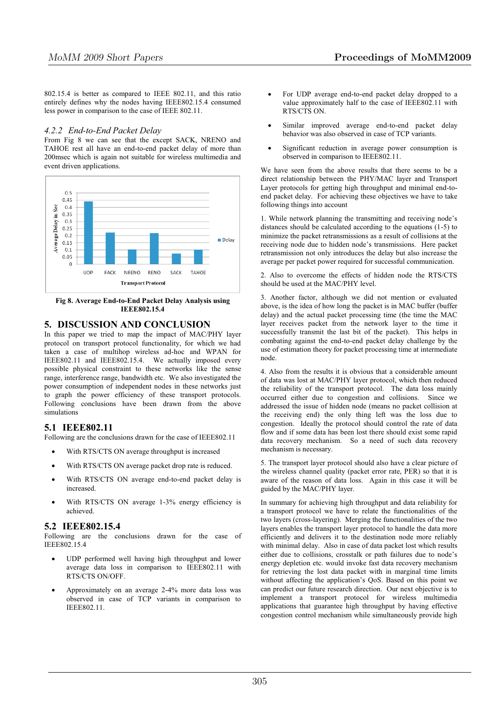802.15.4 is better as compared to IEEE 802.11, and this ratio entirely defines why the nodes having IEEE802.15.4 consumed less power in comparison to the case of IEEE 802.11.

## *4.2.2 End-to-End Packet Delay*

From Fig 8 we can see that the except SACK, NRENO and TAHOE rest all have an end-to-end packet delay of more than 200msec which is again not suitable for wireless multimedia and event driven applications.



**Fig 8. Average End-to-End Packet Delay Analysis using IEEE802.15.4** 

## **5. DISCUSSION AND CONCLUSION**

In this paper we tried to map the impact of MAC/PHY layer protocol on transport protocol functionality, for which we had taken a case of multihop wireless ad-hoc and WPAN for IEEE802.11 and IEEE802.15.4. We actually imposed every possible physical constraint to these networks like the sense range, interference range, bandwidth etc. We also investigated the power consumption of independent nodes in these networks just to graph the power efficiency of these transport protocols. Following conclusions have been drawn from the above simulations

## **5.1 IEEE802.11**

Following are the conclusions drawn for the case of IEEE802.11

- With RTS/CTS ON average throughput is increased
- With RTS/CTS ON average packet drop rate is reduced.
- With RTS/CTS ON average end-to-end packet delay is increased.
- With RTS/CTS ON average 1-3% energy efficiency is achieved.

## **5.2 IEEE802.15.4**

Following are the conclusions drawn for the case of IEEE802.15.4

- UDP performed well having high throughput and lower average data loss in comparison to IEEE802.11 with RTS/CTS ON/OFF.
- Approximately on an average 2-4% more data loss was observed in case of TCP variants in comparison to IEEE802.11.
- For UDP average end-to-end packet delay dropped to a value approximately half to the case of IEEE802.11 with RTS/CTS ON.
- Similar improved average end-to-end packet delay behavior was also observed in case of TCP variants.
- Significant reduction in average power consumption is observed in comparison to IEEE802.11.

We have seen from the above results that there seems to be a direct relationship between the PHY/MAC layer and Transport Layer protocols for getting high throughput and minimal end-toend packet delay. For achieving these objectives we have to take following things into account

1. While network planning the transmitting and receiving node's distances should be calculated according to the equations (1-5) to minimize the packet retransmissions as a result of collisions at the receiving node due to hidden node's transmissions. Here packet retransmission not only introduces the delay but also increase the average per packet power required for successful communication.

2. Also to overcome the effects of hidden node the RTS/CTS should be used at the MAC/PHY level.

3. Another factor, although we did not mention or evaluated above, is the idea of how long the packet is in MAC buffer (buffer delay) and the actual packet processing time (the time the MAC layer receives packet from the network layer to the time it successfully transmit the last bit of the packet). This helps in combating against the end-to-end packet delay challenge by the use of estimation theory for packet processing time at intermediate node.

4. Also from the results it is obvious that a considerable amount of data was lost at MAC/PHY layer protocol, which then reduced the reliability of the transport protocol. The data loss mainly occurred either due to congestion and collisions. Since we addressed the issue of hidden node (means no packet collision at the receiving end) the only thing left was the loss due to congestion. Ideally the protocol should control the rate of data flow and if some data has been lost there should exist some rapid data recovery mechanism. So a need of such data recovery mechanism is necessary.

5. The transport layer protocol should also have a clear picture of the wireless channel quality (packet error rate, PER) so that it is aware of the reason of data loss. Again in this case it will be guided by the MAC/PHY layer.

In summary for achieving high throughput and data reliability for a transport protocol we have to relate the functionalities of the two layers (cross-layering). Merging the functionalities of the two layers enables the transport layer protocol to handle the data more efficiently and delivers it to the destination node more reliably with minimal delay. Also in case of data packet lost which results either due to collisions, crosstalk or path failures due to node's energy depletion etc. would invoke fast data recovery mechanism for retrieving the lost data packet with in marginal time limits without affecting the application's QoS. Based on this point we can predict our future research direction. Our next objective is to implement a transport protocol for wireless multimedia applications that guarantee high throughput by having effective congestion control mechanism while simultaneously provide high